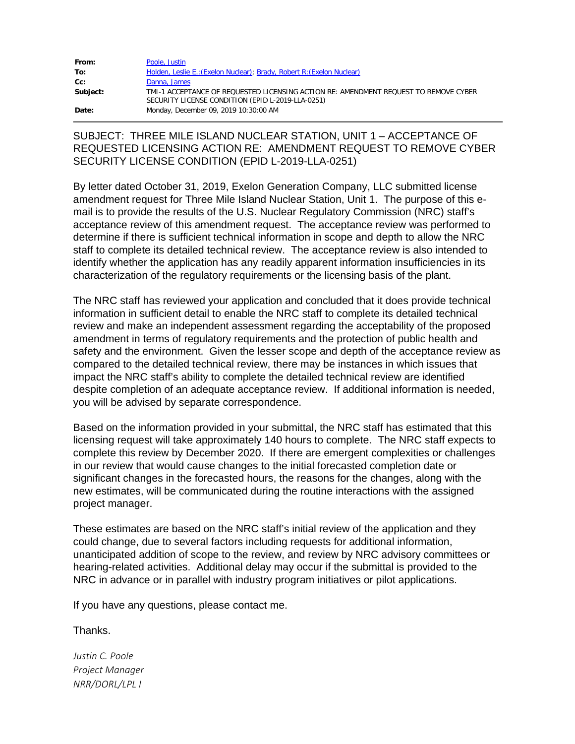| From:    | Poole, Justin                                                                                                                             |
|----------|-------------------------------------------------------------------------------------------------------------------------------------------|
| To:      | Holden, Leslie E.: (Exelon Nuclear); Brady, Robert R: (Exelon Nuclear)                                                                    |
| Cc:      | Danna, James                                                                                                                              |
| Subject: | TMI-1 ACCEPTANCE OF REOUESTED LICENSING ACTION RE: AMENDMENT REOUEST TO REMOVE CYBER<br>SECURITY LICENSE CONDITION (EPID L-2019-LLA-0251) |
| Date:    | Monday, December 09, 2019 10:30:00 AM                                                                                                     |

## SUBJECT: THREE MILE ISLAND NUCLEAR STATION, UNIT 1 – ACCEPTANCE OF REQUESTED LICENSING ACTION RE: AMENDMENT REQUEST TO REMOVE CYBER SECURITY LICENSE CONDITION (EPID L-2019-LLA-0251)

By letter dated October 31, 2019, Exelon Generation Company, LLC submitted license amendment request for Three Mile Island Nuclear Station, Unit 1. The purpose of this email is to provide the results of the U.S. Nuclear Regulatory Commission (NRC) staff's acceptance review of this amendment request. The acceptance review was performed to determine if there is sufficient technical information in scope and depth to allow the NRC staff to complete its detailed technical review. The acceptance review is also intended to identify whether the application has any readily apparent information insufficiencies in its characterization of the regulatory requirements or the licensing basis of the plant.

The NRC staff has reviewed your application and concluded that it does provide technical information in sufficient detail to enable the NRC staff to complete its detailed technical review and make an independent assessment regarding the acceptability of the proposed amendment in terms of regulatory requirements and the protection of public health and safety and the environment. Given the lesser scope and depth of the acceptance review as compared to the detailed technical review, there may be instances in which issues that impact the NRC staff's ability to complete the detailed technical review are identified despite completion of an adequate acceptance review. If additional information is needed, you will be advised by separate correspondence.

Based on the information provided in your submittal, the NRC staff has estimated that this licensing request will take approximately 140 hours to complete. The NRC staff expects to complete this review by December 2020. If there are emergent complexities or challenges in our review that would cause changes to the initial forecasted completion date or significant changes in the forecasted hours, the reasons for the changes, along with the new estimates, will be communicated during the routine interactions with the assigned project manager.

These estimates are based on the NRC staff's initial review of the application and they could change, due to several factors including requests for additional information, unanticipated addition of scope to the review, and review by NRC advisory committees or hearing-related activities. Additional delay may occur if the submittal is provided to the NRC in advance or in parallel with industry program initiatives or pilot applications.

If you have any questions, please contact me.

Thanks.

*Justin C. Poole Project Manager NRR/DORL/LPL I*